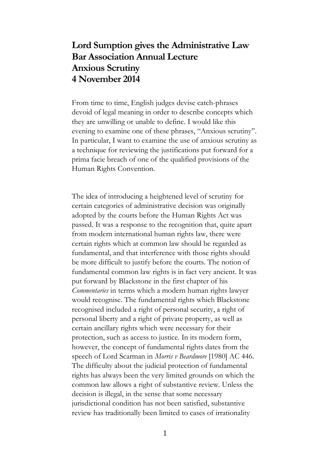## **Lord Sumption gives the Administrative Law Bar Association Annual Lecture Anxious Scrutiny 4 November 2014**

From time to time, English judges devise catch-phrases devoid of legal meaning in order to describe concepts which they are unwilling or unable to define. I would like this evening to examine one of these phrases, "Anxious scrutiny". In particular, I want to examine the use of anxious scrutiny as a technique for reviewing the justifications put forward for a prima facie breach of one of the qualified provisions of the Human Rights Convention.

The idea of introducing a heightened level of scrutiny for certain categories of administrative decision was originally adopted by the courts before the Human Rights Act was passed. It was a response to the recognition that, quite apart from modern international human rights law, there were certain rights which at common law should be regarded as fundamental, and that interference with those rights should be more difficult to justify before the courts. The notion of fundamental common law rights is in fact very ancient. It was put forward by Blackstone in the first chapter of his *Commentaries* in terms which a modern human rights lawyer would recognise. The fundamental rights which Blackstone recognised included a right of personal security, a right of personal liberty and a right of private property, as well as certain ancillary rights which were necessary for their protection, such as access to justice. In its modern form, however, the concept of fundamental rights dates from the speech of Lord Scarman in *Morris v Beardmore* [1980] AC 446. The difficulty about the judicial protection of fundamental rights has always been the very limited grounds on which the common law allows a right of substantive review. Unless the decision is illegal, in the sense that some necessary jurisdictional condition has not been satisfied, substantive review has traditionally been limited to cases of irrationality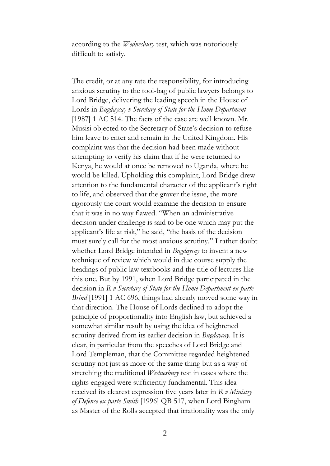according to the *Wednesbury* test, which was notoriously difficult to satisfy.

The credit, or at any rate the responsibility, for introducing anxious scrutiny to the tool-bag of public lawyers belongs to Lord Bridge, delivering the leading speech in the House of Lords in *Bugdaycay v Secretary of State for the Home Department* [1987] 1 AC 514. The facts of the case are well known. Mr. Musisi objected to the Secretary of State's decision to refuse him leave to enter and remain in the United Kingdom. His complaint was that the decision had been made without attempting to verify his claim that if he were returned to Kenya, he would at once be removed to Uganda, where he would be killed. Upholding this complaint, Lord Bridge drew attention to the fundamental character of the applicant's right to life, and observed that the graver the issue, the more rigorously the court would examine the decision to ensure that it was in no way flawed. "When an administrative decision under challenge is said to be one which may put the applicant's life at risk," he said, "the basis of the decision must surely call for the most anxious scrutiny." I rather doubt whether Lord Bridge intended in *Bugdaycay* to invent a new technique of review which would in due course supply the headings of public law textbooks and the title of lectures like this one. But by 1991, when Lord Bridge participated in the decision in *R v Secretary of State for the Home Department ex parte Brind* [1991] 1 AC 696, things had already moved some way in that direction. The House of Lords declined to adopt the principle of proportionality into English law, but achieved a somewhat similar result by using the idea of heightened scrutiny derived from its earlier decision in *Bugdaycay*. It is clear, in particular from the speeches of Lord Bridge and Lord Templeman, that the Committee regarded heightened scrutiny not just as more of the same thing but as a way of stretching the traditional *Wednesbury* test in cases where the rights engaged were sufficiently fundamental. This idea received its clearest expression five years later in *R v Ministry of Defence ex parte Smith* [1996] QB 517, when Lord Bingham as Master of the Rolls accepted that irrationality was the only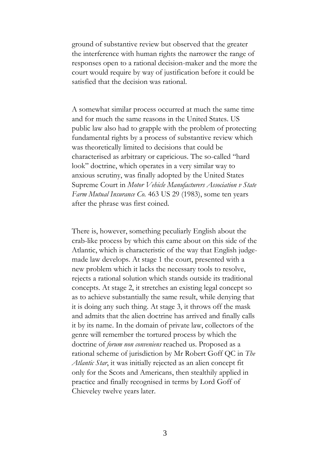ground of substantive review but observed that the greater the interference with human rights the narrower the range of responses open to a rational decision-maker and the more the court would require by way of justification before it could be satisfied that the decision was rational.

A somewhat similar process occurred at much the same time and for much the same reasons in the United States. US public law also had to grapple with the problem of protecting fundamental rights by a process of substantive review which was theoretically limited to decisions that could be characterised as arbitrary or capricious. The so-called "hard look" doctrine, which operates in a very similar way to anxious scrutiny, was finally adopted by the United States Supreme Court in *Motor Vehicle Manufacturers Association v State Farm Mutual Insurance Co.* 463 US 29 (1983), some ten years after the phrase was first coined.

There is, however, something peculiarly English about the crab-like process by which this came about on this side of the Atlantic, which is characteristic of the way that English judgemade law develops. At stage 1 the court, presented with a new problem which it lacks the necessary tools to resolve, rejects a rational solution which stands outside its traditional concepts. At stage 2, it stretches an existing legal concept so as to achieve substantially the same result, while denying that it is doing any such thing. At stage 3, it throws off the mask and admits that the alien doctrine has arrived and finally calls it by its name. In the domain of private law, collectors of the genre will remember the tortured process by which the doctrine of *forum non conveniens* reached us. Proposed as a rational scheme of jurisdiction by Mr Robert Goff QC in *The Atlantic Star*, it was initially rejected as an alien concept fit only for the Scots and Americans, then stealthily applied in practice and finally recognised in terms by Lord Goff of Chieveley twelve years later.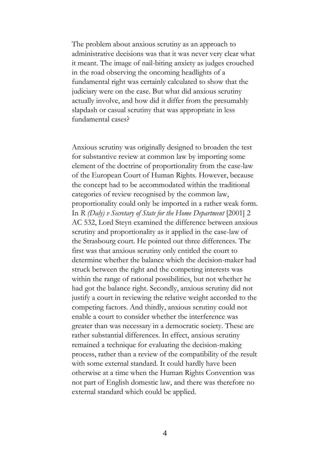The problem about anxious scrutiny as an approach to administrative decisions was that it was never very clear what it meant. The image of nail-biting anxiety as judges crouched in the road observing the oncoming headlights of a fundamental right was certainly calculated to show that the judiciary were on the case. But what did anxious scrutiny actually involve, and how did it differ from the presumably slapdash or casual scrutiny that was appropriate in less fundamental cases?

Anxious scrutiny was originally designed to broaden the test for substantive review at common law by importing some element of the doctrine of proportionality from the case-law of the European Court of Human Rights. However, because the concept had to be accommodated within the traditional categories of review recognised by the common law, proportionality could only be imported in a rather weak form. In *R (Daly) v Secretary of State for the Home Department* [2001] 2 AC 532, Lord Steyn examined the difference between anxious scrutiny and proportionality as it applied in the case-law of the Strasbourg court. He pointed out three differences. The first was that anxious scrutiny only entitled the court to determine whether the balance which the decision-maker had struck between the right and the competing interests was within the range of rational possibilities, but not whether he had got the balance right. Secondly, anxious scrutiny did not justify a court in reviewing the relative weight accorded to the competing factors. And thirdly, anxious scrutiny could not enable a court to consider whether the interference was greater than was necessary in a democratic society. These are rather substantial differences. In effect, anxious scrutiny remained a technique for evaluating the decision-making process, rather than a review of the compatibility of the result with some external standard. It could hardly have been otherwise at a time when the Human Rights Convention was not part of English domestic law, and there was therefore no external standard which could be applied.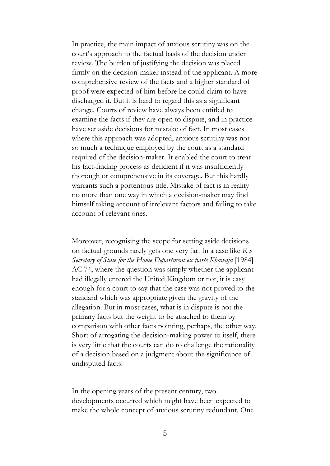In practice, the main impact of anxious scrutiny was on the court's approach to the factual basis of the decision under review. The burden of justifying the decision was placed firmly on the decision-maker instead of the applicant. A more comprehensive review of the facts and a higher standard of proof were expected of him before he could claim to have discharged it. But it is hard to regard this as a significant change. Courts of review have always been entitled to examine the facts if they are open to dispute, and in practice have set aside decisions for mistake of fact. In most cases where this approach was adopted, anxious scrutiny was not so much a technique employed by the court as a standard required of the decision-maker. It enabled the court to treat his fact-finding process as deficient if it was insufficiently thorough or comprehensive in its coverage. But this hardly warrants such a portentous title. Mistake of fact is in reality no more than one way in which a decision-maker may find himself taking account of irrelevant factors and failing to take account of relevant ones.

Moreover, recognising the scope for setting aside decisions on factual grounds rarely gets one very far. In a case like *R v Secretary of State for the Home Department ex parte Khawaja* [1984] AC 74, where the question was simply whether the applicant had illegally entered the United Kingdom or not, it is easy enough for a court to say that the case was not proved to the standard which was appropriate given the gravity of the allegation. But in most cases, what is in dispute is not the primary facts but the weight to be attached to them by comparison with other facts pointing, perhaps, the other way. Short of arrogating the decision-making power to itself, there is very little that the courts can do to challenge the rationality of a decision based on a judgment about the significance of undisputed facts.

In the opening years of the present century, two developments occurred which might have been expected to make the whole concept of anxious scrutiny redundant. One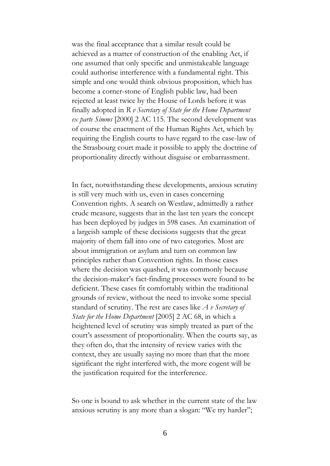was the final acceptance that a similar result could be achieved as a matter of construction of the enabling Act, if one assumed that only specific and unmistakeable language could authorise interference with a fundamental right. This simple and one would think obvious proposition, which has become a corner-stone of English public law, had been rejected at least twice by the House of Lords before it was finally adopted in *R v Secretary of State for the Home Department ex parte Simms* [2000] 2 AC 115. The second development was of course the enactment of the Human Rights Act, which by requiring the English courts to have regard to the case-law of the Strasbourg court made it possible to apply the doctrine of proportionality directly without disguise or embarrassment.

In fact, notwithstanding these developments, anxious scrutiny is still very much with us, even in cases concerning Convention rights. A search on Westlaw, admittedly a rather crude measure, suggests that in the last ten years the concept has been deployed by judges in 598 cases. An examination of a largeish sample of these decisions suggests that the great majority of them fall into one of two categories. Most are about immigration or asylum and turn on common law principles rather than Convention rights. In those cases where the decision was quashed, it was commonly because the decision-maker's fact-finding processes were found to be deficient. These cases fit comfortably within the traditional grounds of review, without the need to invoke some special standard of scrutiny. The rest are cases like *A v Secretary of State for the Home Department* [2005] 2 AC 68, in which a heightened level of scrutiny was simply treated as part of the court's assessment of proportionality. When the courts say, as they often do, that the intensity of review varies with the context, they are usually saying no more than that the more significant the right interfered with, the more cogent will be the justification required for the interference.

So one is bound to ask whether in the current state of the law anxious scrutiny is any more than a slogan: "We try harder";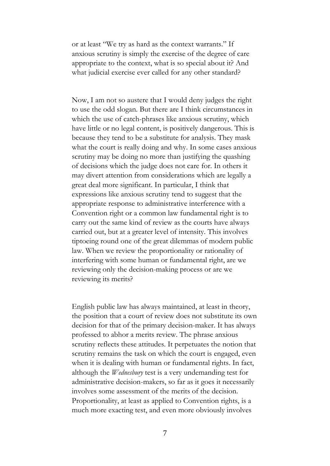or at least "We try as hard as the context warrants." If anxious scrutiny is simply the exercise of the degree of care appropriate to the context, what is so special about it? And what judicial exercise ever called for any other standard?

Now, I am not so austere that I would deny judges the right to use the odd slogan. But there are I think circumstances in which the use of catch-phrases like anxious scrutiny, which have little or no legal content, is positively dangerous. This is because they tend to be a substitute for analysis. They mask what the court is really doing and why. In some cases anxious scrutiny may be doing no more than justifying the quashing of decisions which the judge does not care for. In others it may divert attention from considerations which are legally a great deal more significant. In particular, I think that expressions like anxious scrutiny tend to suggest that the appropriate response to administrative interference with a Convention right or a common law fundamental right is to carry out the same kind of review as the courts have always carried out, but at a greater level of intensity. This involves tiptoeing round one of the great dilemmas of modern public law. When we review the proportionality or rationality of interfering with some human or fundamental right, are we reviewing only the decision-making process or are we reviewing its merits?

English public law has always maintained, at least in theory, the position that a court of review does not substitute its own decision for that of the primary decision-maker. It has always professed to abhor a merits review. The phrase anxious scrutiny reflects these attitudes. It perpetuates the notion that scrutiny remains the task on which the court is engaged, even when it is dealing with human or fundamental rights. In fact, although the *Wednesbury* test is a very undemanding test for administrative decision-makers, so far as it goes it necessarily involves some assessment of the merits of the decision. Proportionality, at least as applied to Convention rights, is a much more exacting test, and even more obviously involves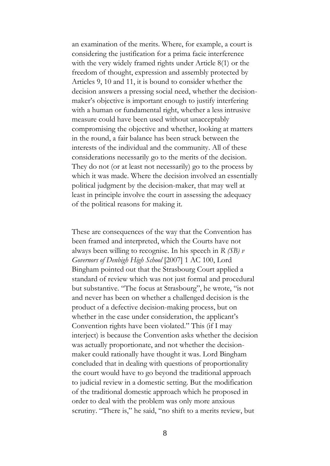an examination of the merits. Where, for example, a court is considering the justification for a prima facie interference with the very widely framed rights under Article 8(1) or the freedom of thought, expression and assembly protected by Articles 9, 10 and 11, it is bound to consider whether the decision answers a pressing social need, whether the decisionmaker's objective is important enough to justify interfering with a human or fundamental right, whether a less intrusive measure could have been used without unacceptably compromising the objective and whether, looking at matters in the round, a fair balance has been struck between the interests of the individual and the community. All of these considerations necessarily go to the merits of the decision. They do not (or at least not necessarily) go to the process by which it was made. Where the decision involved an essentially political judgment by the decision-maker, that may well at least in principle involve the court in assessing the adequacy of the political reasons for making it.

These are consequences of the way that the Convention has been framed and interpreted, which the Courts have not always been willing to recognise. In his speech in *R (SB) v Governors of Denbigh High School* [2007] 1 AC 100, Lord Bingham pointed out that the Strasbourg Court applied a standard of review which was not just formal and procedural but substantive. "The focus at Strasbourg", he wrote, "is not and never has been on whether a challenged decision is the product of a defective decision-making process, but on whether in the case under consideration, the applicant's Convention rights have been violated." This (if I may interject) is because the Convention asks whether the decision was actually proportionate, and not whether the decisionmaker could rationally have thought it was. Lord Bingham concluded that in dealing with questions of proportionality the court would have to go beyond the traditional approach to judicial review in a domestic setting. But the modification of the traditional domestic approach which he proposed in order to deal with the problem was only more anxious scrutiny. "There is," he said, "no shift to a merits review, but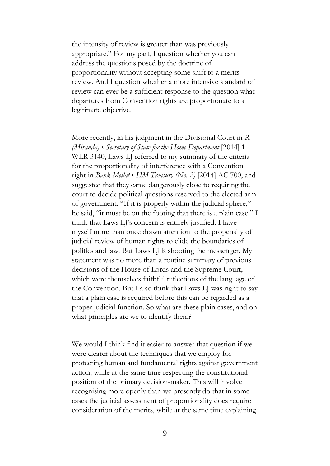the intensity of review is greater than was previously appropriate." For my part, I question whether you can address the questions posed by the doctrine of proportionality without accepting some shift to a merits review. And I question whether a more intensive standard of review can ever be a sufficient response to the question what departures from Convention rights are proportionate to a legitimate objective.

More recently, in his judgment in the Divisional Court in *R (Miranda) v Secretary of State for the Home Department* [2014] 1 WLR 3140, Laws LJ referred to my summary of the criteria for the proportionality of interference with a Convention right in *Bank Mellat v HM Treasury (No. 2)* [2014] AC 700, and suggested that they came dangerously close to requiring the court to decide political questions reserved to the elected arm of government. "If it is properly within the judicial sphere," he said, "it must be on the footing that there is a plain case." I think that Laws LJ's concern is entirely justified. I have myself more than once drawn attention to the propensity of judicial review of human rights to elide the boundaries of politics and law. But Laws LJ is shooting the messenger. My statement was no more than a routine summary of previous decisions of the House of Lords and the Supreme Court, which were themselves faithful reflections of the language of the Convention. But I also think that Laws LJ was right to say that a plain case is required before this can be regarded as a proper judicial function. So what are these plain cases, and on what principles are we to identify them?

We would I think find it easier to answer that question if we were clearer about the techniques that we employ for protecting human and fundamental rights against government action, while at the same time respecting the constitutional position of the primary decision-maker. This will involve recognising more openly than we presently do that in some cases the judicial assessment of proportionality does require consideration of the merits, while at the same time explaining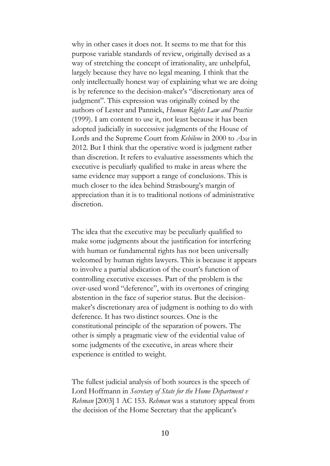why in other cases it does not. It seems to me that for this purpose variable standards of review, originally devised as a way of stretching the concept of irrationality, are unhelpful, largely because they have no legal meaning. I think that the only intellectually honest way of explaining what we are doing is by reference to the decision-maker's "discretionary area of judgment". This expression was originally coined by the authors of Lester and Pannick, *Human Rights Law and Practice* (1999). I am content to use it, not least because it has been adopted judicially in successive judgments of the House of Lords and the Supreme Court from *Kebilene* in 2000 to *Axa* in 2012. But I think that the operative word is judgment rather than discretion. It refers to evaluative assessments which the executive is peculiarly qualified to make in areas where the same evidence may support a range of conclusions. This is much closer to the idea behind Strasbourg's margin of appreciation than it is to traditional notions of administrative discretion.

The idea that the executive may be peculiarly qualified to make some judgments about the justification for interfering with human or fundamental rights has not been universally welcomed by human rights lawyers. This is because it appears to involve a partial abdication of the court's function of controlling executive excesses. Part of the problem is the over-used word "deference", with its overtones of cringing abstention in the face of superior status. But the decisionmaker's discretionary area of judgment is nothing to do with deference. It has two distinct sources. One is the constitutional principle of the separation of powers. The other is simply a pragmatic view of the evidential value of some judgments of the executive, in areas where their experience is entitled to weight.

The fullest judicial analysis of both sources is the speech of Lord Hoffmann in *Secretary of State for the Home Department v Rehman* [2003] 1 AC 153. *Rehman* was a statutory appeal from the decision of the Home Secretary that the applicant's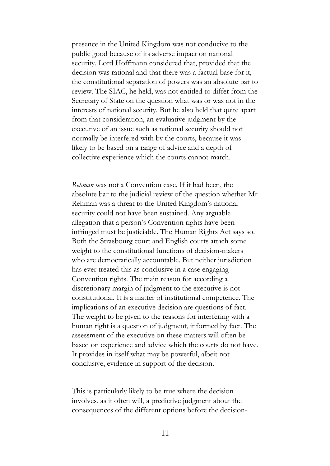presence in the United Kingdom was not conducive to the public good because of its adverse impact on national security. Lord Hoffmann considered that, provided that the decision was rational and that there was a factual base for it, the constitutional separation of powers was an absolute bar to review. The SIAC, he held, was not entitled to differ from the Secretary of State on the question what was or was not in the interests of national security. But he also held that quite apart from that consideration, an evaluative judgment by the executive of an issue such as national security should not normally be interfered with by the courts, because it was likely to be based on a range of advice and a depth of collective experience which the courts cannot match.

*Rehman* was not a Convention case. If it had been, the absolute bar to the judicial review of the question whether Mr Rehman was a threat to the United Kingdom's national security could not have been sustained. Any arguable allegation that a person's Convention rights have been infringed must be justiciable. The Human Rights Act says so. Both the Strasbourg court and English courts attach some weight to the constitutional functions of decision-makers who are democratically accountable. But neither jurisdiction has ever treated this as conclusive in a case engaging Convention rights. The main reason for according a discretionary margin of judgment to the executive is not constitutional. It is a matter of institutional competence. The implications of an executive decision are questions of fact. The weight to be given to the reasons for interfering with a human right is a question of judgment, informed by fact. The assessment of the executive on these matters will often be based on experience and advice which the courts do not have. It provides in itself what may be powerful, albeit not conclusive, evidence in support of the decision.

This is particularly likely to be true where the decision involves, as it often will, a predictive judgment about the consequences of the different options before the decision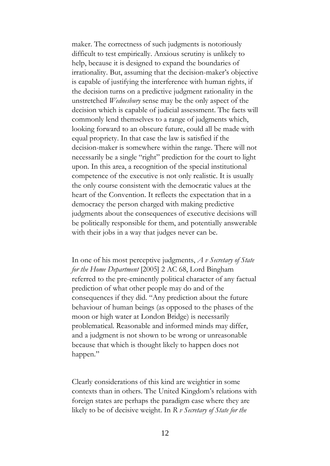maker. The correctness of such judgments is notoriously difficult to test empirically. Anxious scrutiny is unlikely to help, because it is designed to expand the boundaries of irrationality. But, assuming that the decision-maker's objective is capable of justifying the interference with human rights, if the decision turns on a predictive judgment rationality in the unstretched *Wednesbury* sense may be the only aspect of the decision which is capable of judicial assessment. The facts will commonly lend themselves to a range of judgments which, looking forward to an obscure future, could all be made with equal propriety. In that case the law is satisfied if the decision-maker is somewhere within the range. There will not necessarily be a single "right" prediction for the court to light upon. In this area, a recognition of the special institutional competence of the executive is not only realistic. It is usually the only course consistent with the democratic values at the heart of the Convention. It reflects the expectation that in a democracy the person charged with making predictive judgments about the consequences of executive decisions will be politically responsible for them, and potentially answerable with their jobs in a way that judges never can be.

In one of his most perceptive judgments, *A v Secretary of State for the Home Department* [2005] 2 AC 68, Lord Bingham referred to the pre-eminently political character of any factual prediction of what other people may do and of the consequences if they did. "Any prediction about the future behaviour of human beings (as opposed to the phases of the moon or high water at London Bridge) is necessarily problematical. Reasonable and informed minds may differ, and a judgment is not shown to be wrong or unreasonable because that which is thought likely to happen does not happen."

Clearly considerations of this kind are weightier in some contexts than in others. The United Kingdom's relations with foreign states are perhaps the paradigm case where they are likely to be of decisive weight. In *R v Secretary of State for the*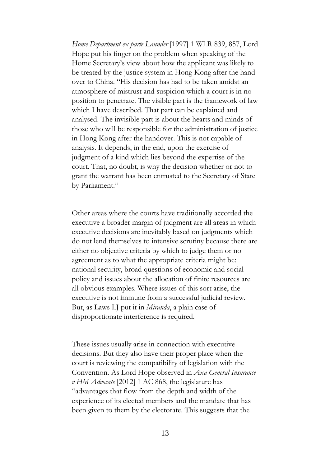*Home Department ex parte Launder* [1997] 1 WLR 839, 857, Lord Hope put his finger on the problem when speaking of the Home Secretary's view about how the applicant was likely to be treated by the justice system in Hong Kong after the handover to China. "His decision has had to be taken amidst an atmosphere of mistrust and suspicion which a court is in no position to penetrate. The visible part is the framework of law which I have described. That part can be explained and analysed. The invisible part is about the hearts and minds of those who will be responsible for the administration of justice in Hong Kong after the handover. This is not capable of analysis. It depends, in the end, upon the exercise of judgment of a kind which lies beyond the expertise of the court. That, no doubt, is why the decision whether or not to grant the warrant has been entrusted to the Secretary of State by Parliament."

Other areas where the courts have traditionally accorded the executive a broader margin of judgment are all areas in which executive decisions are inevitably based on judgments which do not lend themselves to intensive scrutiny because there are either no objective criteria by which to judge them or no agreement as to what the appropriate criteria might be: national security, broad questions of economic and social policy and issues about the allocation of finite resources are all obvious examples. Where issues of this sort arise, the executive is not immune from a successful judicial review. But, as Laws LJ put it in *Miranda*, a plain case of disproportionate interference is required.

These issues usually arise in connection with executive decisions. But they also have their proper place when the court is reviewing the compatibility of legislation with the Convention. As Lord Hope observed in *Axa General Insurance v HM Advocate* [2012] 1 AC 868, the legislature has "advantages that flow from the depth and width of the experience of its elected members and the mandate that has been given to them by the electorate. This suggests that the